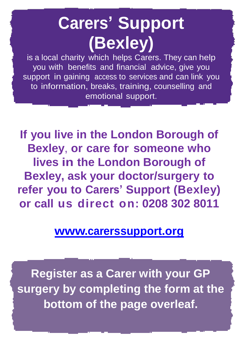# **Carers' Support (Bexley)**

is a local charity which helps Carers. They can help you with benefits and financial advice, give you support in gaining access to services and can link you to information, breaks, training, counselling and emotional support.

**If you live in the London Borough of Bexley**, **or care for someone who lives in the London Borough of Bexley, ask your doctor/surgery to refer you to Carers' Support (Bexley) or call us direct on: 0208 302 8011**

### **[www.carerssupport.org](http://www.carerssupport.org/)**

**Register as a Carer with your GP surgery by completing the form at the bottom of the page overleaf.**